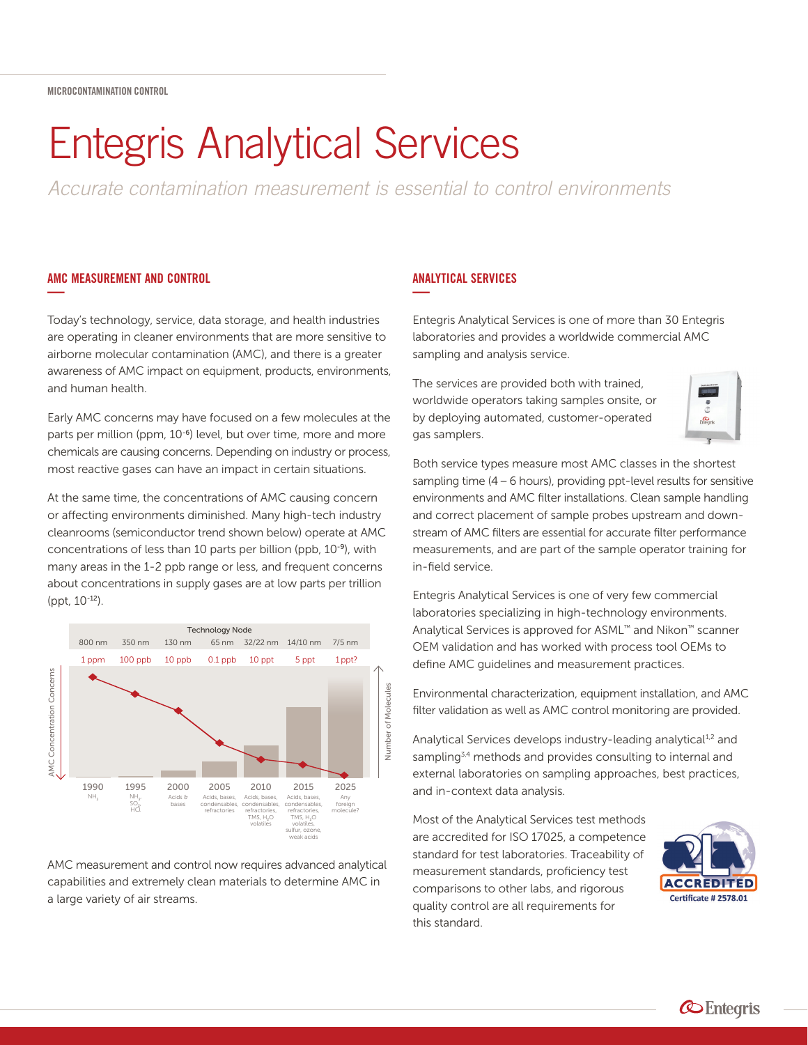# Entegris Analytical Services

*Accurate contamination measurement is essential to control environments*

## AMC MEASUREMENT AND CONTROL **—**

Today's technology, service, data storage, and health industries are operating in cleaner environments that are more sensitive to airborne molecular contamination (AMC), and there is a greater awareness of AMC impact on equipment, products, environments, and human health.

Early AMC concerns may have focused on a few molecules at the parts per million (ppm, 10<sup>-6</sup>) level, but over time, more and more chemicals are causing concerns. Depending on industry or process, most reactive gases can have an impact in certain situations.

At the same time, the concentrations of AMC causing concern or affecting environments diminished. Many high-tech industry cleanrooms (semiconductor trend shown below) operate at AMC concentrations of less than 10 parts per billion (ppb, 10-9), with many areas in the 1-2 ppb range or less, and frequent concerns about concentrations in supply gases are at low parts per trillion (ppt, 10-12).



AMC measurement and control now requires advanced analytical capabilities and extremely clean materials to determine AMC in a large variety of air streams.

## ANALYTICAL SERVICES **—**

Entegris Analytical Services is one of more than 30 Entegris laboratories and provides a worldwide commercial AMC sampling and analysis service.

The services are provided both with trained, worldwide operators taking samples onsite, or by deploying automated, customer-operated gas samplers.



Both service types measure most AMC classes in the shortest sampling time  $(4 – 6$  hours), providing ppt-level results for sensitive environments and AMC filter installations. Clean sample handling and correct placement of sample probes upstream and downstream of AMC filters are essential for accurate filter performance measurements, and are part of the sample operator training for in-field service.

Entegris Analytical Services is one of very few commercial laboratories specializing in high-technology environments. Analytical Services is approved for ASML™ and Nikon™ scanner OEM validation and has worked with process tool OEMs to define AMC guidelines and measurement practices.

Environmental characterization, equipment installation, and AMC filter validation as well as AMC control monitoring are provided.

Analytical Services develops industry-leading analytical<sup>1,2</sup> and sampling<sup>3,4</sup> methods and provides consulting to internal and external laboratories on sampling approaches, best practices, and in-context data analysis.

Most of the Analytical Services test methods are accredited for ISO 17025, a competence standard for test laboratories. Traceability of measurement standards, proficiency test comparisons to other labs, and rigorous quality control are all requirements for this standard.